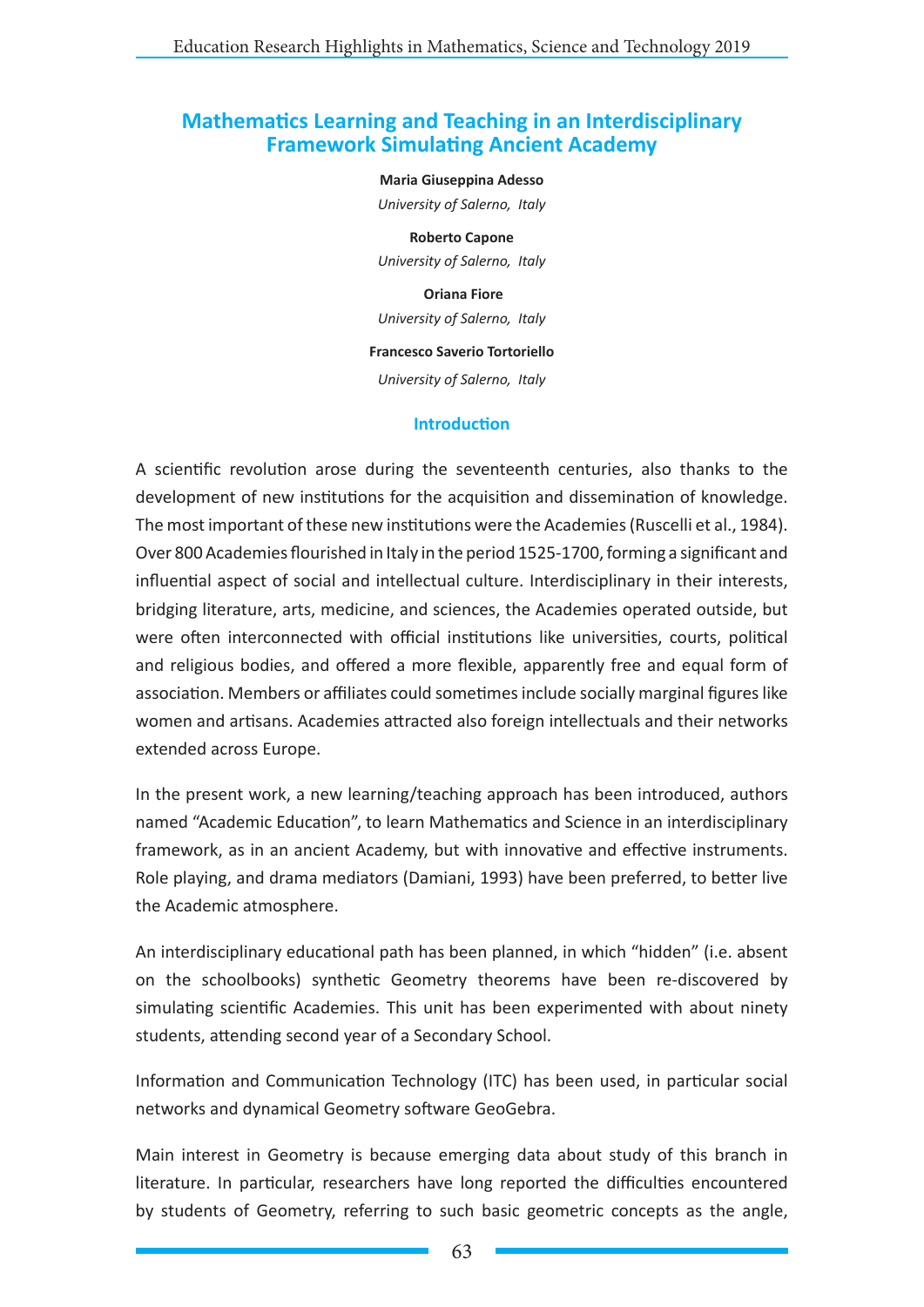# **Mathematics Learning and Teaching in an Interdisciplinary Framework Simulating Ancient Academy**

#### **Maria Giuseppina Adesso**

*University of Salerno, Italy*

**Roberto Capone** *University of Salerno, Italy*

 **Oriana Fiore** *University of Salerno, Italy*

#### **Francesco Saverio Tortoriello**

*University of Salerno, Italy*

#### **Introduction**

A scientific revolution arose during the seventeenth centuries, also thanks to the development of new institutions for the acquisition and dissemination of knowledge. The most important of these new institutions were the Academies(Ruscelli et al., 1984). Over 800 Academies flourished in Italy in the period 1525-1700, forming a significant and influential aspect of social and intellectual culture. Interdisciplinary in their interests, bridging literature, arts, medicine, and sciences, the Academies operated outside, but were often interconnected with official institutions like universities, courts, political and religious bodies, and offered a more flexible, apparently free and equal form of association. Members or affiliates could sometimes include socially marginal figures like women and artisans. Academies attracted also foreign intellectuals and their networks extended across Europe.

In the present work, a new learning/teaching approach has been introduced, authors named "Academic Education", to learn Mathematics and Science in an interdisciplinary framework, as in an ancient Academy, but with innovative and effective instruments. Role playing, and drama mediators (Damiani, 1993) have been preferred, to better live the Academic atmosphere.

An interdisciplinary educational path has been planned, in which "hidden" (i.e. absent on the schoolbooks) synthetic Geometry theorems have been re-discovered by simulating scientific Academies. This unit has been experimented with about ninety students, attending second year of a Secondary School.

Information and Communication Technology (ITC) has been used, in particular social networks and dynamical Geometry software GeoGebra.

Main interest in Geometry is because emerging data about study of this branch in literature. In particular, researchers have long reported the difficulties encountered by students of Geometry, referring to such basic geometric concepts as the angle,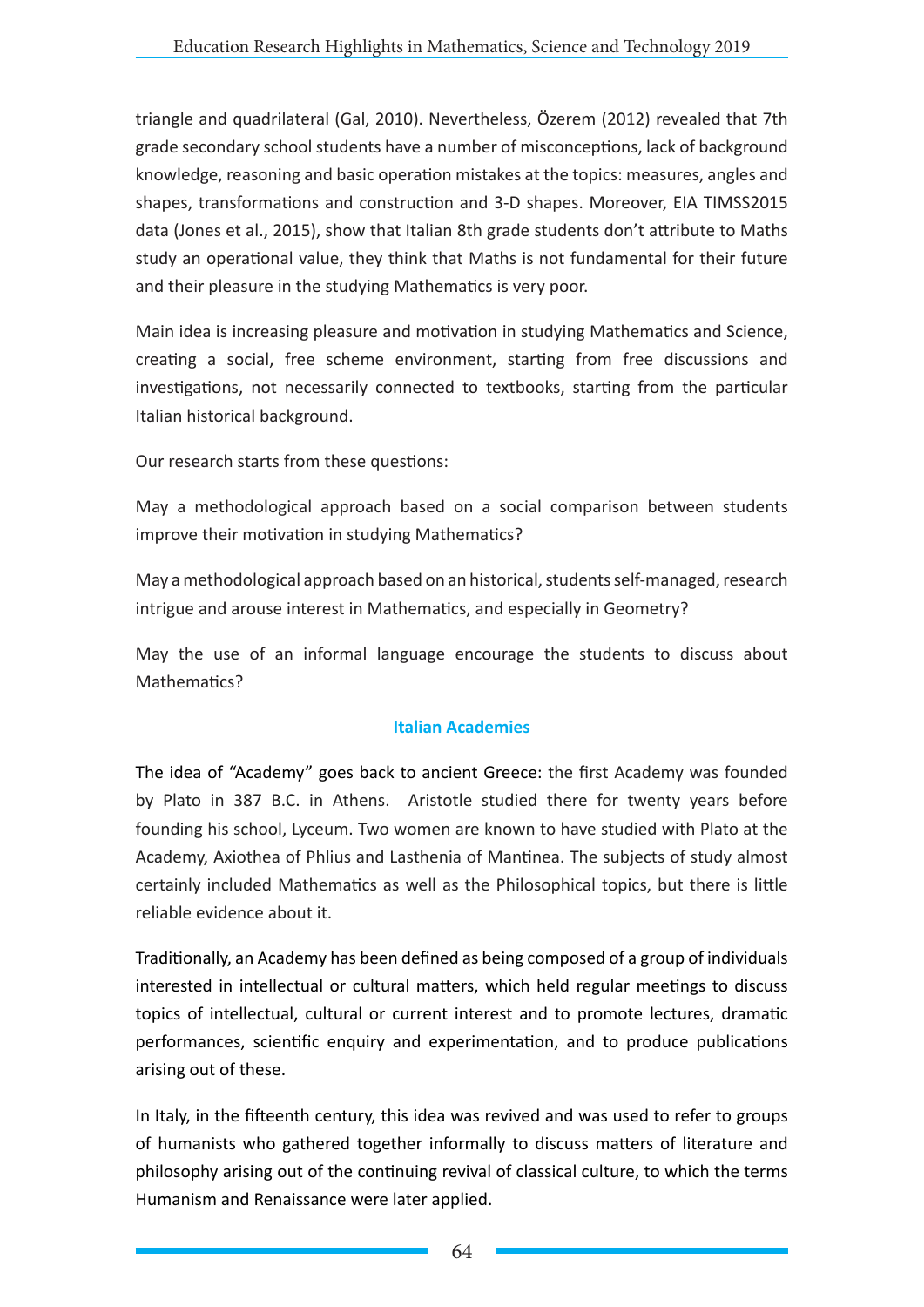triangle and quadrilateral (Gal, 2010). Nevertheless, Özerem (2012) revealed that 7th grade secondary school students have a number of misconceptions, lack of background knowledge, reasoning and basic operation mistakes at the topics: measures, angles and shapes, transformations and construction and 3-D shapes. Moreover, EIA TIMSS2015 data (Jones et al., 2015), show that Italian 8th grade students don't attribute to Maths study an operational value, they think that Maths is not fundamental for their future and their pleasure in the studying Mathematics is very poor.

Main idea is increasing pleasure and motivation in studying Mathematics and Science, creating a social, free scheme environment, starting from free discussions and investigations, not necessarily connected to textbooks, starting from the particular Italian historical background.

Our research starts from these questions:

May a methodological approach based on a social comparison between students improve their motivation in studying Mathematics?

May a methodological approach based on an historical, students self-managed, research intrigue and arouse interest in Mathematics, and especially in Geometry?

May the use of an informal language encourage the students to discuss about Mathematics?

### **Italian Academies**

The idea of "Academy" goes back to ancient Greece: the first Academy was founded by Plato in 387 B.C. in Athens. Aristotle studied there for twenty years before founding his school, Lyceum. Two women are known to have studied with Plato at the Academy, Axiothea of Phlius and Lasthenia of Mantinea. The subjects of study almost certainly included Mathematics as well as the Philosophical topics, but there is little reliable evidence about it.

Traditionally, an Academy has been defined as being composed of a group of individuals interested in intellectual or cultural matters, which held regular meetings to discuss topics of intellectual, cultural or current interest and to promote lectures, dramatic performances, scientific enquiry and experimentation, and to produce publications arising out of these.

In Italy, in the fifteenth century, this idea was revived and was used to refer to groups of humanists who gathered together informally to discuss matters of literature and philosophy arising out of the continuing revival of classical culture, to which the terms Humanism and Renaissance were later applied.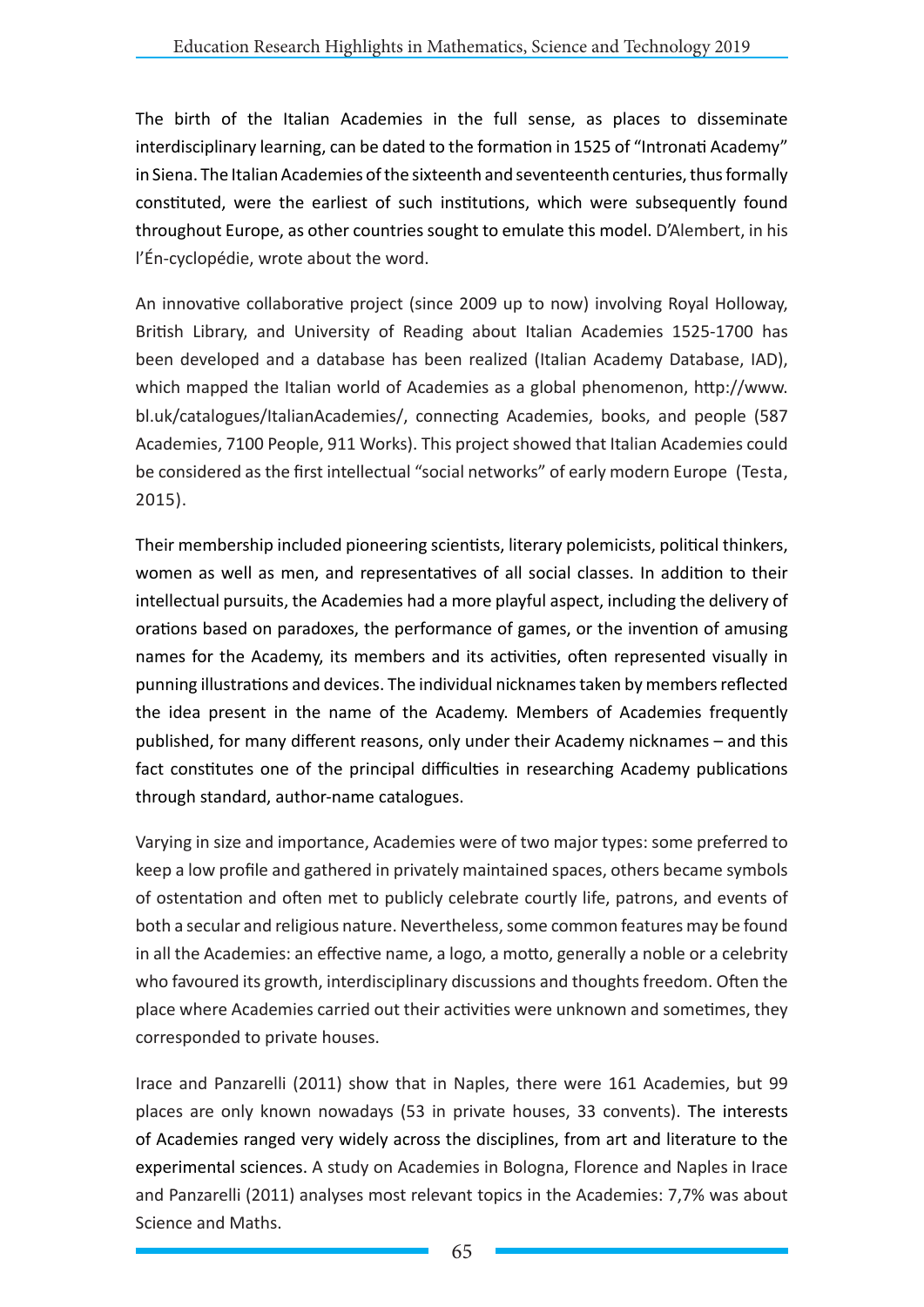The birth of the Italian Academies in the full sense, as places to disseminate interdisciplinary learning, can be dated to the formation in 1525 of "Intronati Academy" in Siena. The Italian Academies of the sixteenth and seventeenth centuries, thus formally constituted, were the earliest of such institutions, which were subsequently found throughout Europe, as other countries sought to emulate this model. D'Alembert, in his l'Én-cyclopédie, wrote about the word.

An innovative collaborative project (since 2009 up to now) involving Royal Holloway, British Library, and University of Reading about Italian Academies 1525-1700 has been developed and a database has been realized (Italian Academy Database, IAD), which mapped the Italian world of Academies as a global phenomenon, http://www. bl.uk/catalogues/ItalianAcademies/, connecting Academies, books, and people (587 Academies, 7100 People, 911 Works). This project showed that Italian Academies could be considered as the first intellectual "social networks" of early modern Europe (Testa, 2015).

Their membership included pioneering scientists, literary polemicists, political thinkers, women as well as men, and representatives of all social classes. In addition to their intellectual pursuits, the Academies had a more playful aspect, including the delivery of orations based on paradoxes, the performance of games, or the invention of amusing names for the Academy, its members and its activities, often represented visually in punning illustrations and devices. The individual nicknames taken by members reflected the idea present in the name of the Academy. Members of Academies frequently published, for many different reasons, only under their Academy nicknames – and this fact constitutes one of the principal difficulties in researching Academy publications through standard, author-name catalogues.

Varying in size and importance, Academies were of two major types: some preferred to keep a low profile and gathered in privately maintained spaces, others became symbols of ostentation and often met to publicly celebrate courtly life, patrons, and events of both a secular and religious nature. Nevertheless, some common features may be found in all the Academies: an effective name, a logo, a motto, generally a noble or a celebrity who favoured its growth, interdisciplinary discussions and thoughts freedom. Often the place where Academies carried out their activities were unknown and sometimes, they corresponded to private houses.

Irace and Panzarelli (2011) show that in Naples, there were 161 Academies, but 99 places are only known nowadays (53 in private houses, 33 convents). The interests of Academies ranged very widely across the disciplines, from art and literature to the experimental sciences. A study on Academies in Bologna, Florence and Naples in Irace and Panzarelli (2011) analyses most relevant topics in the Academies: 7,7% was about Science and Maths.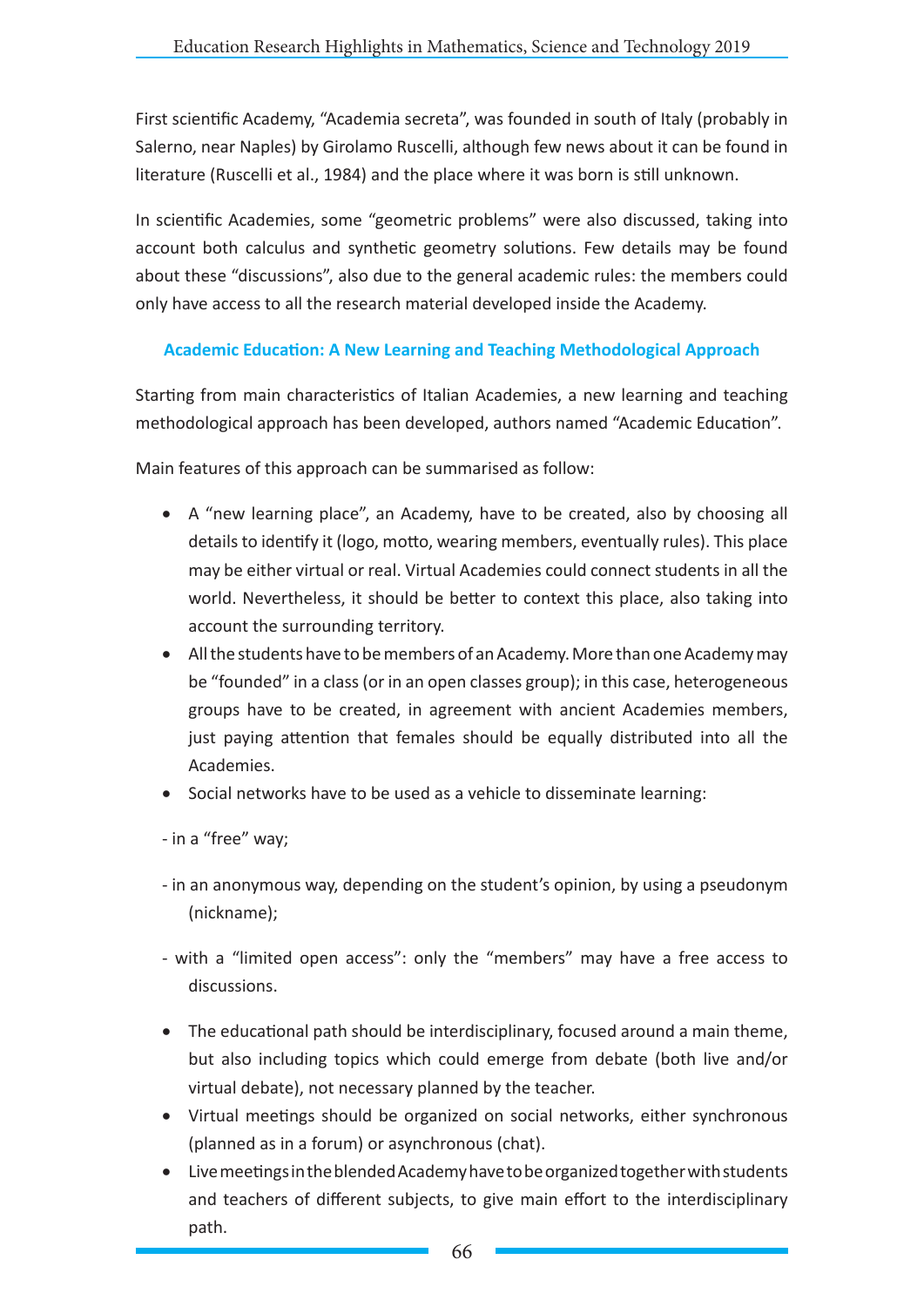First scientific Academy, "Academia secreta", was founded in south of Italy (probably in Salerno, near Naples) by Girolamo Ruscelli, although few news about it can be found in literature (Ruscelli et al., 1984) and the place where it was born is still unknown.

In scientific Academies, some "geometric problems" were also discussed, taking into account both calculus and synthetic geometry solutions. Few details may be found about these "discussions", also due to the general academic rules: the members could only have access to all the research material developed inside the Academy.

### **Academic Education: A New Learning and Teaching Methodological Approach**

Starting from main characteristics of Italian Academies, a new learning and teaching methodological approach has been developed, authors named "Academic Education".

Main features of this approach can be summarised as follow:

- A "new learning place", an Academy, have to be created, also by choosing all details to identify it (logo, motto, wearing members, eventually rules). This place may be either virtual or real. Virtual Academies could connect students in all the world. Nevertheless, it should be better to context this place, also taking into account the surrounding territory.
- All the students have to be members of an Academy. More than one Academy may be "founded" in a class (or in an open classes group); in this case, heterogeneous groups have to be created, in agreement with ancient Academies members, just paying attention that females should be equally distributed into all the Academies.
- Social networks have to be used as a vehicle to disseminate learning:

- in a "free" way;

- in an anonymous way, depending on the student's opinion, by using a pseudonym (nickname);
- with a "limited open access": only the "members" may have a free access to discussions.
- The educational path should be interdisciplinary, focused around a main theme, but also including topics which could emerge from debate (both live and/or virtual debate), not necessary planned by the teacher.
- Virtual meetings should be organized on social networks, either synchronous (planned as in a forum) or asynchronous (chat).
- • Live meetings in the blended Academy have to be organized together with students and teachers of different subjects, to give main effort to the interdisciplinary path.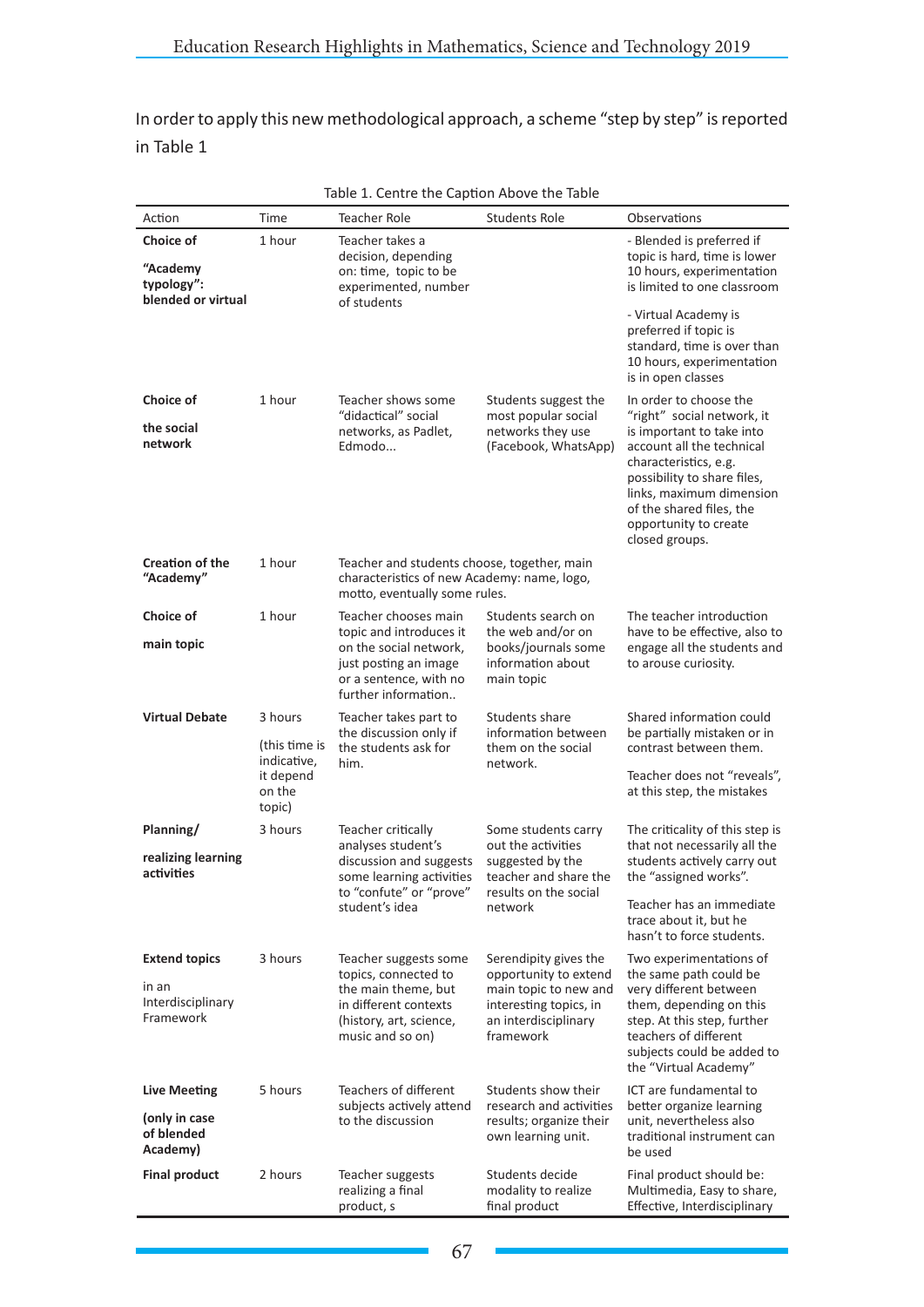In order to apply this new methodological approach, a scheme "step by step" is reported in Table 1

| Action                                       | Time                                                                     | Teacher Role                                                                                                                                               | <b>Students Role</b>                                                                                            | Observations                                                                                                                                                                                                      |  |  |  |  |
|----------------------------------------------|--------------------------------------------------------------------------|------------------------------------------------------------------------------------------------------------------------------------------------------------|-----------------------------------------------------------------------------------------------------------------|-------------------------------------------------------------------------------------------------------------------------------------------------------------------------------------------------------------------|--|--|--|--|
| Choice of                                    | 1 hour                                                                   | Teacher takes a                                                                                                                                            |                                                                                                                 | - Blended is preferred if                                                                                                                                                                                         |  |  |  |  |
| "Academy<br>typology":<br>blended or virtual |                                                                          | decision, depending<br>on: time, topic to be<br>experimented, number<br>of students                                                                        |                                                                                                                 | topic is hard, time is lower<br>10 hours, experimentation<br>is limited to one classroom                                                                                                                          |  |  |  |  |
|                                              |                                                                          |                                                                                                                                                            |                                                                                                                 | - Virtual Academy is<br>preferred if topic is<br>standard, time is over than<br>10 hours, experimentation<br>is in open classes                                                                                   |  |  |  |  |
| Choice of                                    | 1 hour                                                                   | Teacher shows some<br>"didactical" social                                                                                                                  | Students suggest the<br>most popular social                                                                     | In order to choose the<br>"right" social network, it                                                                                                                                                              |  |  |  |  |
| the social<br>network                        |                                                                          | networks, as Padlet,<br>Edmodo                                                                                                                             | networks they use<br>(Facebook, WhatsApp)                                                                       | is important to take into<br>account all the technical<br>characteristics, e.g.<br>possibility to share files,<br>links, maximum dimension<br>of the shared files, the<br>opportunity to create<br>closed groups. |  |  |  |  |
| <b>Creation of the</b><br>"Academy"          | 1 hour                                                                   | Teacher and students choose, together, main<br>characteristics of new Academy: name, logo,<br>motto, eventually some rules.                                |                                                                                                                 |                                                                                                                                                                                                                   |  |  |  |  |
| Choice of                                    | 1 hour                                                                   | Teacher chooses main<br>topic and introduces it                                                                                                            | Students search on<br>the web and/or on                                                                         | The teacher introduction                                                                                                                                                                                          |  |  |  |  |
| main topic                                   |                                                                          | books/journals some<br>on the social network,<br>information about<br>just posting an image<br>or a sentence, with no<br>main topic<br>further information |                                                                                                                 | have to be effective, also to<br>engage all the students and<br>to arouse curiosity.                                                                                                                              |  |  |  |  |
| <b>Virtual Debate</b>                        | 3 hours<br>(this time is<br>indicative,<br>it depend<br>on the<br>topic) | Teacher takes part to<br>the discussion only if<br>the students ask for<br>him.                                                                            | Students share<br>information between<br>them on the social<br>network.                                         | Shared information could<br>be partially mistaken or in<br>contrast between them.<br>Teacher does not "reveals",<br>at this step, the mistakes                                                                    |  |  |  |  |
| Planning/                                    | 3 hours                                                                  | Teacher critically<br>analyses student's<br>discussion and suggests<br>some learning activities<br>to "confute" or "prove"                                 | Some students carry<br>out the activities<br>suggested by the<br>teacher and share the<br>results on the social | The criticality of this step is                                                                                                                                                                                   |  |  |  |  |
| realizing learning<br>activities             |                                                                          |                                                                                                                                                            |                                                                                                                 | that not necessarily all the<br>students actively carry out<br>the "assigned works".                                                                                                                              |  |  |  |  |
|                                              |                                                                          | student's idea                                                                                                                                             | network                                                                                                         | Teacher has an immediate<br>trace about it, but he<br>hasn't to force students.                                                                                                                                   |  |  |  |  |
| <b>Extend topics</b>                         | 3 hours                                                                  | Teacher suggests some<br>topics, connected to                                                                                                              | Serendipity gives the<br>opportunity to extend                                                                  | Two experimentations of<br>the same path could be                                                                                                                                                                 |  |  |  |  |
| in an<br>Interdisciplinary<br>Framework      |                                                                          | the main theme, but<br>in different contexts<br>(history, art, science,<br>music and so on)                                                                | main topic to new and<br>interesting topics, in<br>an interdisciplinary<br>framework                            | very different between<br>them, depending on this<br>step. At this step, further<br>teachers of different<br>subjects could be added to<br>the "Virtual Academy"                                                  |  |  |  |  |
| <b>Live Meeting</b>                          | 5 hours                                                                  | Teachers of different<br>subjects actively attend                                                                                                          | Students show their<br>research and activities                                                                  | ICT are fundamental to<br>better organize learning                                                                                                                                                                |  |  |  |  |
| (only in case<br>of blended<br>Academy)      |                                                                          | to the discussion                                                                                                                                          | results; organize their<br>own learning unit.                                                                   | unit, nevertheless also<br>traditional instrument can<br>be used                                                                                                                                                  |  |  |  |  |
| <b>Final product</b>                         | 2 hours                                                                  | Teacher suggests<br>realizing a final<br>product, s                                                                                                        | Students decide<br>modality to realize<br>final product                                                         | Final product should be:<br>Multimedia, Easy to share,<br>Effective, Interdisciplinary                                                                                                                            |  |  |  |  |

| Table 1. Centre the Caption Above the Table |  |  |  |  |  |  |  |
|---------------------------------------------|--|--|--|--|--|--|--|
|---------------------------------------------|--|--|--|--|--|--|--|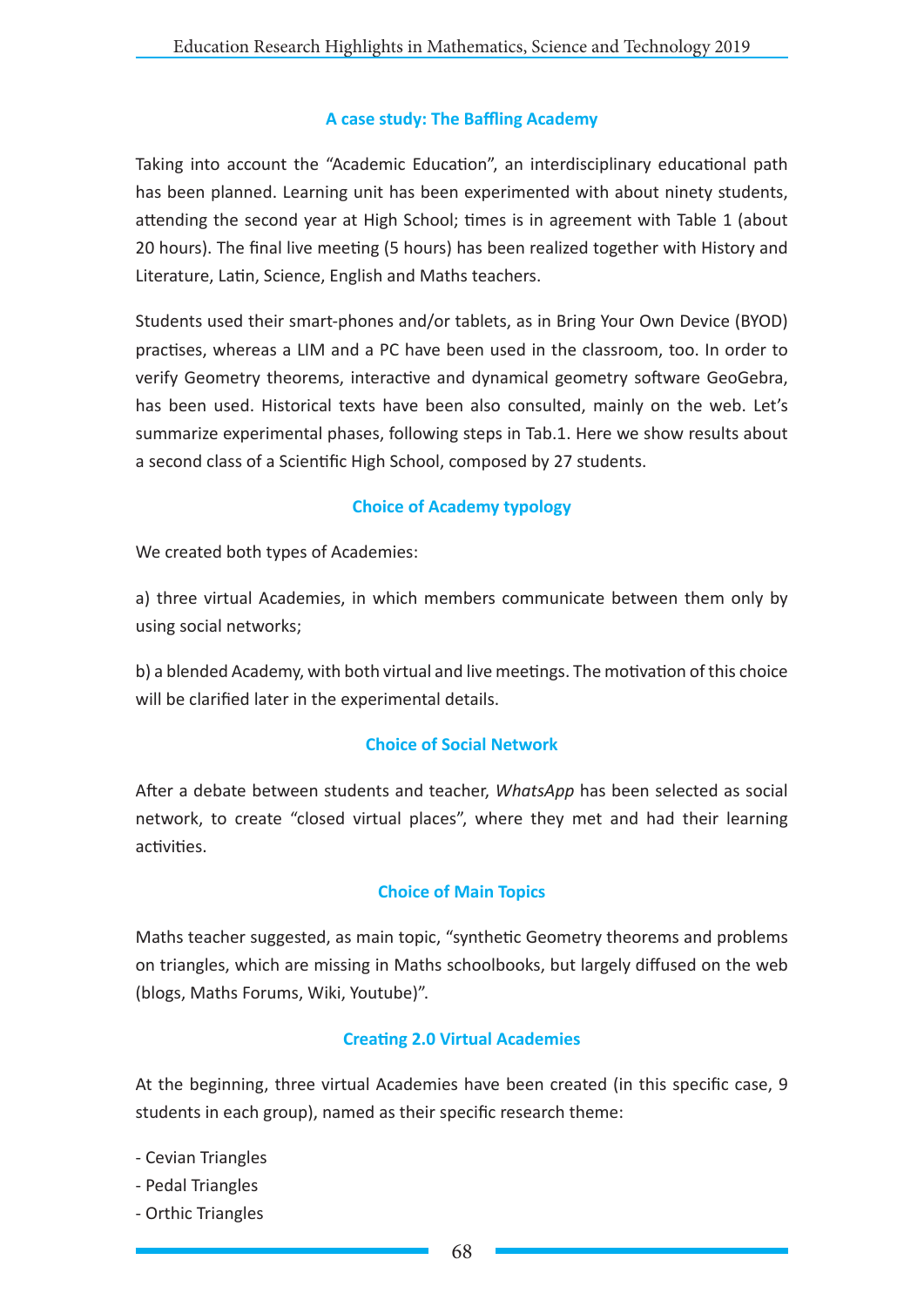#### **A case study: The Baffling Academy**

Taking into account the "Academic Education", an interdisciplinary educational path has been planned. Learning unit has been experimented with about ninety students, attending the second year at High School; times is in agreement with Table 1 (about 20 hours). The final live meeting (5 hours) has been realized together with History and Literature, Latin, Science, English and Maths teachers.

Students used their smart-phones and/or tablets, as in Bring Your Own Device (BYOD) practises, whereas a LIM and a PC have been used in the classroom, too. In order to verify Geometry theorems, interactive and dynamical geometry software GeoGebra, has been used. Historical texts have been also consulted, mainly on the web. Let's summarize experimental phases, following steps in Tab.1. Here we show results about a second class of a Scientific High School, composed by 27 students.

### **Choice of Academy typology**

We created both types of Academies:

a) three virtual Academies, in which members communicate between them only by using social networks;

b) a blended Academy, with both virtual and live meetings. The motivation of this choice will be clarified later in the experimental details.

#### **Choice of Social Network**

After a debate between students and teacher, *WhatsApp* has been selected as social network, to create "closed virtual places", where they met and had their learning activities.

### **Choice of Main Topics**

Maths teacher suggested, as main topic, "synthetic Geometry theorems and problems on triangles, which are missing in Maths schoolbooks, but largely diffused on the web (blogs, Maths Forums, Wiki, Youtube)".

#### **Creating 2.0 Virtual Academies**

At the beginning, three virtual Academies have been created (in this specific case, 9 students in each group), named as their specific research theme:

- Cevian Triangles
- Pedal Triangles
- Orthic Triangles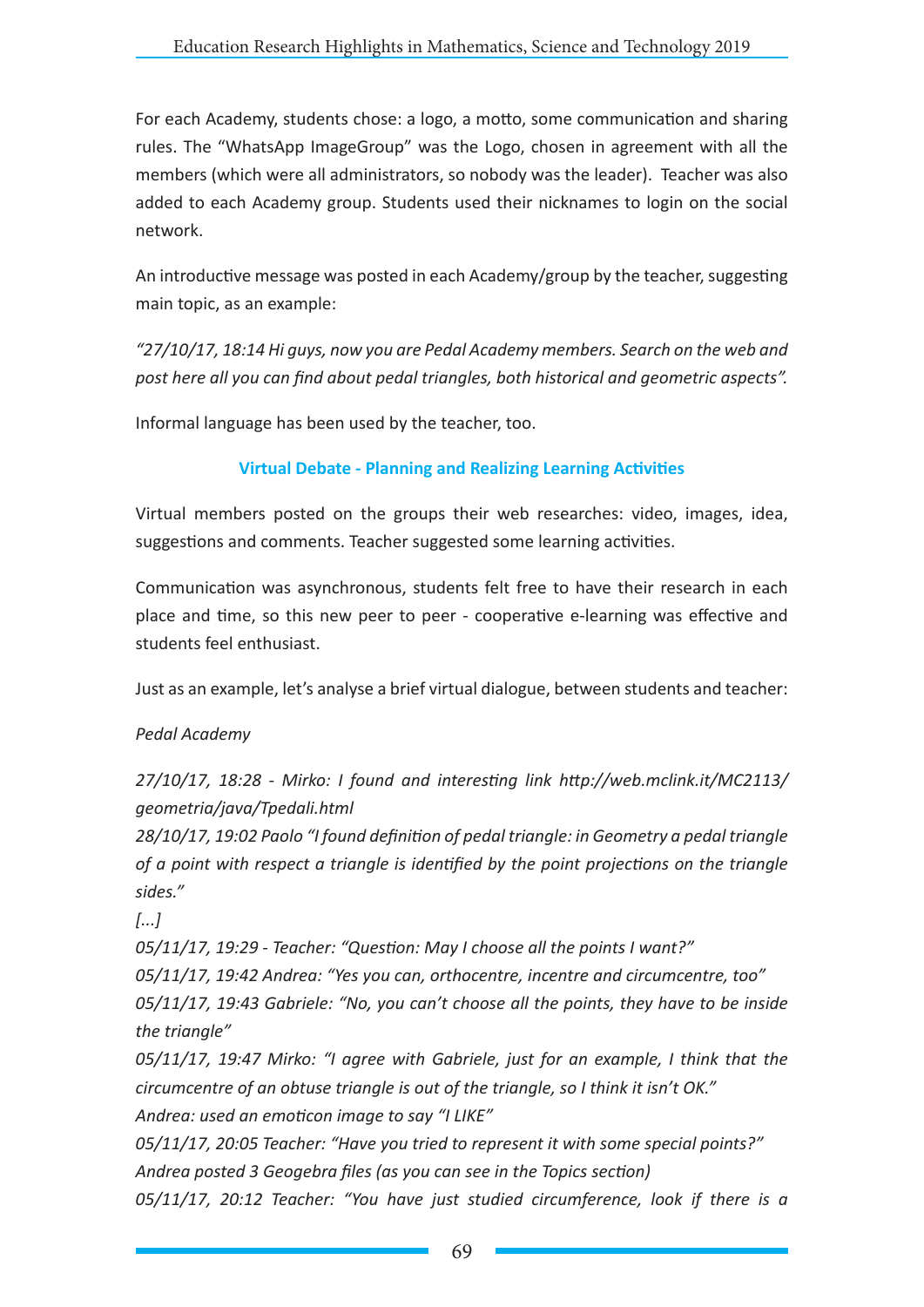For each Academy, students chose: a logo, a motto, some communication and sharing rules. The "WhatsApp ImageGroup" was the Logo, chosen in agreement with all the members (which were all administrators, so nobody was the leader). Teacher was also added to each Academy group. Students used their nicknames to login on the social network.

An introductive message was posted in each Academy/group by the teacher, suggesting main topic, as an example:

*"27/10/17, 18:14 Hi guys, now you are Pedal Academy members. Search on the web and post here all you can find about pedal triangles, both historical and geometric aspects".*

Informal language has been used by the teacher, too.

# **Virtual Debate - Planning and Realizing Learning Activities**

Virtual members posted on the groups their web researches: video, images, idea, suggestions and comments. Teacher suggested some learning activities.

Communication was asynchronous, students felt free to have their research in each place and time, so this new peer to peer - cooperative e-learning was effective and students feel enthusiast.

Just as an example, let's analyse a brief virtual dialogue, between students and teacher:

# *Pedal Academy*

# *27/10/17, 18:28 - Mirko: I found and interesting link http://web.mclink.it/MC2113/ geometria/java/Tpedali.html*

*28/10/17, 19:02 Paolo "I found definition of pedal triangle: in Geometry a pedal triangle of a point with respect a triangle is identified by the point projections on the triangle sides."*

*[...]*

*05/11/17, 19:29 - Teacher: "Question: May I choose all the points I want?"*

*05/11/17, 19:42 Andrea: "Yes you can, orthocentre, incentre and circumcentre, too"*

*05/11/17, 19:43 Gabriele: "No, you can't choose all the points, they have to be inside the triangle"*

*05/11/17, 19:47 Mirko: "I agree with Gabriele, just for an example, I think that the circumcentre of an obtuse triangle is out of the triangle, so I think it isn't OK." Andrea: used an emoticon image to say "I LIKE"*

*05/11/17, 20:05 Teacher: "Have you tried to represent it with some special points?" Andrea posted 3 Geogebra files (as you can see in the Topics section)*

*05/11/17, 20:12 Teacher: "You have just studied circumference, look if there is a*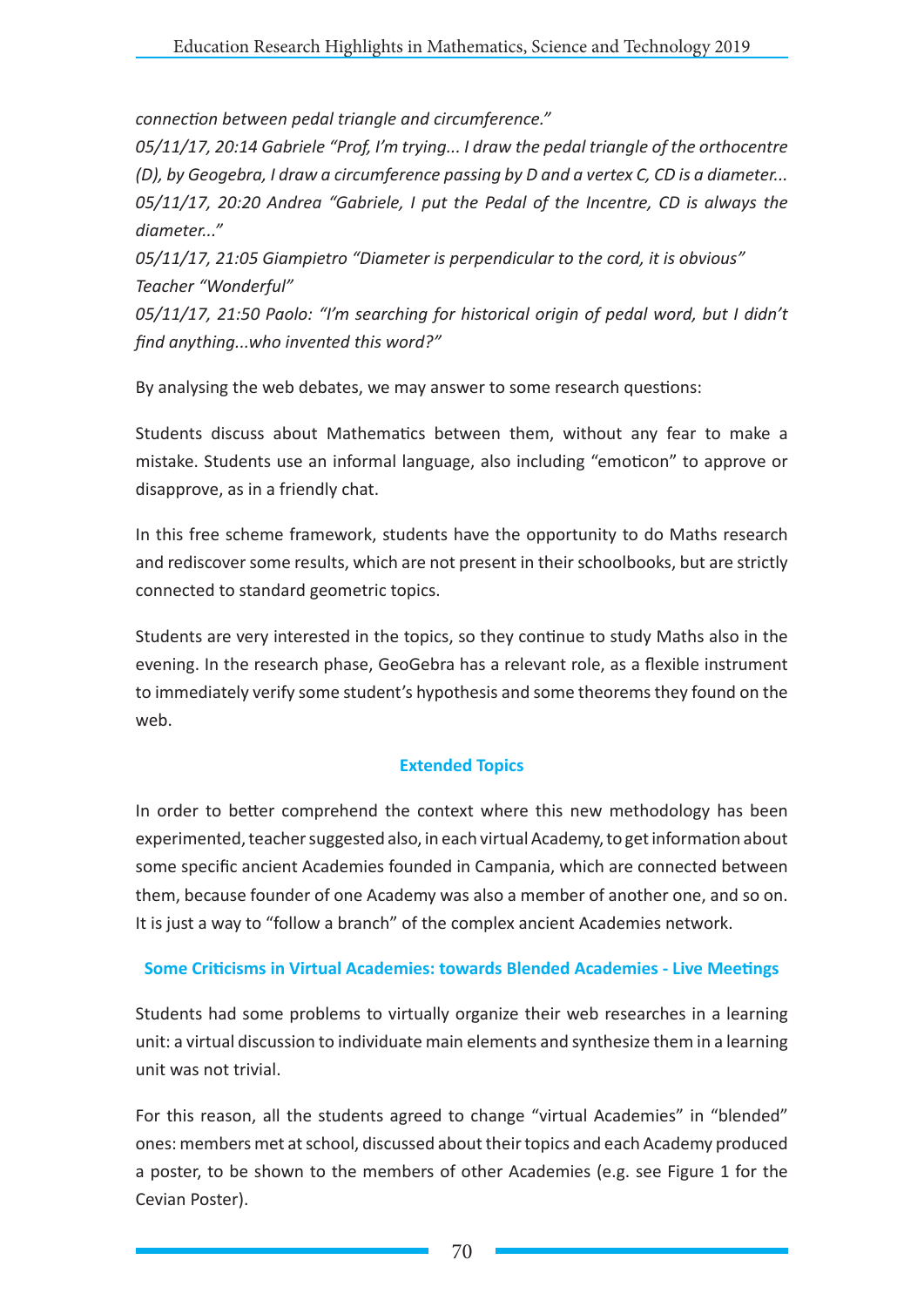*connection between pedal triangle and circumference."*

*05/11/17, 20:14 Gabriele "Prof, I'm trying... I draw the pedal triangle of the orthocentre (D), by Geogebra, I draw a circumference passing by D and a vertex C, CD is a diameter... 05/11/17, 20:20 Andrea "Gabriele, I put the Pedal of the Incentre, CD is always the diameter..."*

*05/11/17, 21:05 Giampietro "Diameter is perpendicular to the cord, it is obvious" Teacher "Wonderful"*

*05/11/17, 21:50 Paolo: "I'm searching for historical origin of pedal word, but I didn't find anything...who invented this word?"*

By analysing the web debates, we may answer to some research questions:

Students discuss about Mathematics between them, without any fear to make a mistake. Students use an informal language, also including "emoticon" to approve or disapprove, as in a friendly chat.

In this free scheme framework, students have the opportunity to do Maths research and rediscover some results, which are not present in their schoolbooks, but are strictly connected to standard geometric topics.

Students are very interested in the topics, so they continue to study Maths also in the evening. In the research phase, GeoGebra has a relevant role, as a flexible instrument to immediately verify some student's hypothesis and some theorems they found on the web.

### **Extended Topics**

In order to better comprehend the context where this new methodology has been experimented, teacher suggested also, in each virtual Academy, to get information about some specific ancient Academies founded in Campania, which are connected between them, because founder of one Academy was also a member of another one, and so on. It is just a way to "follow a branch" of the complex ancient Academies network.

### **Some Criticisms in Virtual Academies: towards Blended Academies - Live Meetings**

Students had some problems to virtually organize their web researches in a learning unit: a virtual discussion to individuate main elements and synthesize them in a learning unit was not trivial.

For this reason, all the students agreed to change "virtual Academies" in "blended" ones: members met at school, discussed about their topics and each Academy produced a poster, to be shown to the members of other Academies (e.g. see Figure 1 for the Cevian Poster).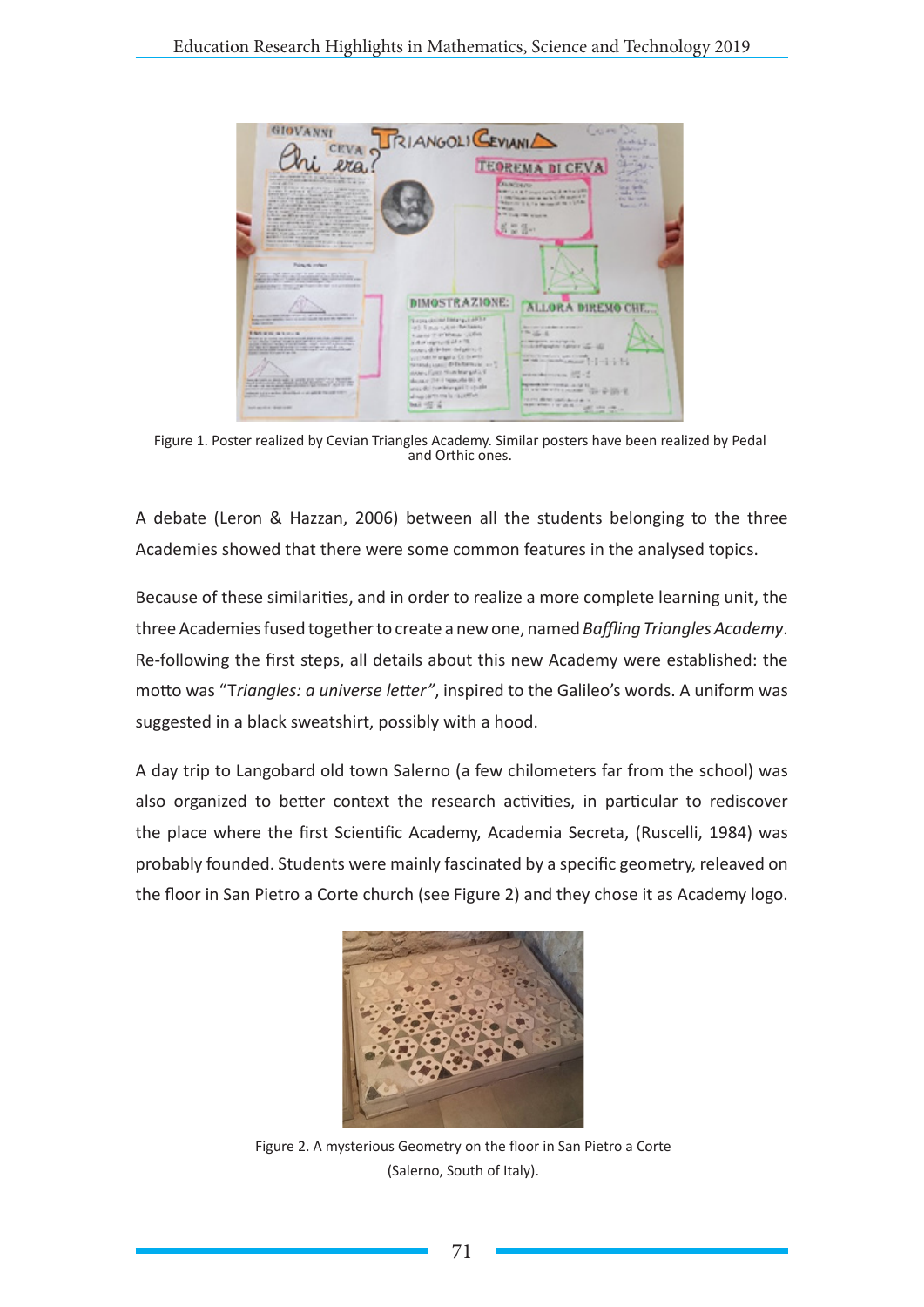

Figure 1. Poster realized by Cevian Triangles Academy. Similar posters have been realized by Pedal and Orthic ones.

A debate (Leron & Hazzan, 2006) between all the students belonging to the three Academies showed that there were some common features in the analysed topics.

Because of these similarities, and in order to realize a more complete learning unit, the three Academies fused together to create a new one, named *Baffling Triangles Academy*. Re-following the first steps, all details about this new Academy were established: the motto was "T*riangles: a universe letter"*, inspired to the Galileo's words. A uniform was suggested in a black sweatshirt, possibly with a hood.

A day trip to Langobard old town Salerno (a few chilometers far from the school) was also organized to better context the research activities, in particular to rediscover the place where the first Scientific Academy, Academia Secreta, (Ruscelli, 1984) was probably founded. Students were mainly fascinated by a specific geometry, releaved on the floor in San Pietro a Corte church (see Figure 2) and they chose it as Academy logo.



Figure 2. A mysterious Geometry on the floor in San Pietro a Corte (Salerno, South of Italy).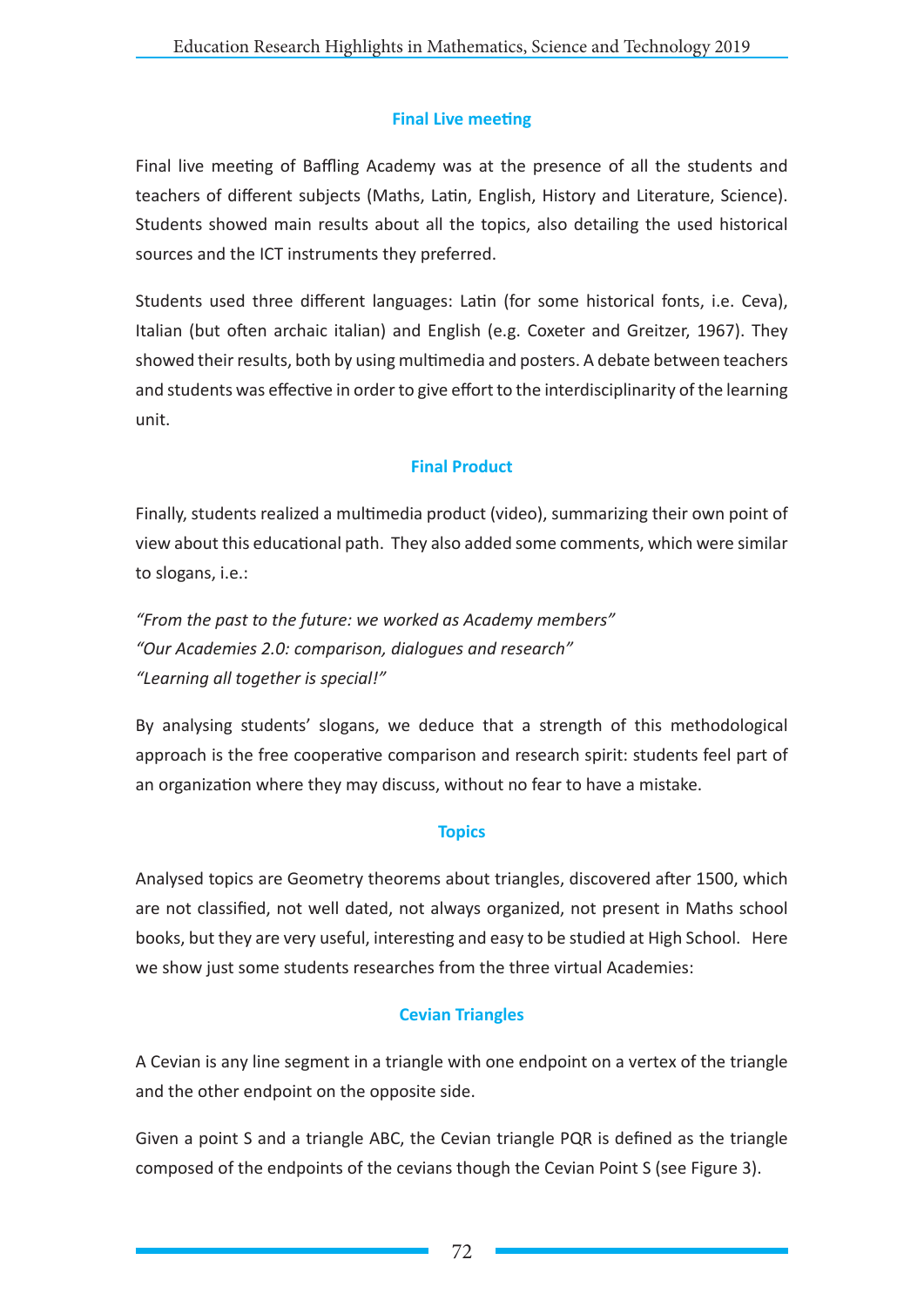# **Final Live meeting**

Final live meeting of Baffling Academy was at the presence of all the students and teachers of different subjects (Maths, Latin, English, History and Literature, Science). Students showed main results about all the topics, also detailing the used historical sources and the ICT instruments they preferred.

Students used three different languages: Latin (for some historical fonts, i.e. Ceva), Italian (but often archaic italian) and English (e.g. Coxeter and Greitzer, 1967). They showed their results, both by using multimedia and posters. A debate between teachers and students was effective in order to give effort to the interdisciplinarity of the learning unit.

## **Final Product**

Finally, students realized a multimedia product (video), summarizing their own point of view about this educational path. They also added some comments, which were similar to slogans, i.e.:

*"From the past to the future: we worked as Academy members" "Our Academies 2.0: comparison, dialogues and research" "Learning all together is special!"* 

By analysing students' slogans, we deduce that a strength of this methodological approach is the free cooperative comparison and research spirit: students feel part of an organization where they may discuss, without no fear to have a mistake.

### **Topics**

Analysed topics are Geometry theorems about triangles, discovered after 1500, which are not classified, not well dated, not always organized, not present in Maths school books, but they are very useful, interesting and easy to be studied at High School. Here we show just some students researches from the three virtual Academies:

### **Cevian Triangles**

A Cevian is any line segment in a triangle with one endpoint on a vertex of the triangle and the other endpoint on the opposite side.

Given a point S and a triangle ABC, the Cevian triangle PQR is defined as the triangle composed of the endpoints of the cevians though the Cevian Point S (see Figure 3).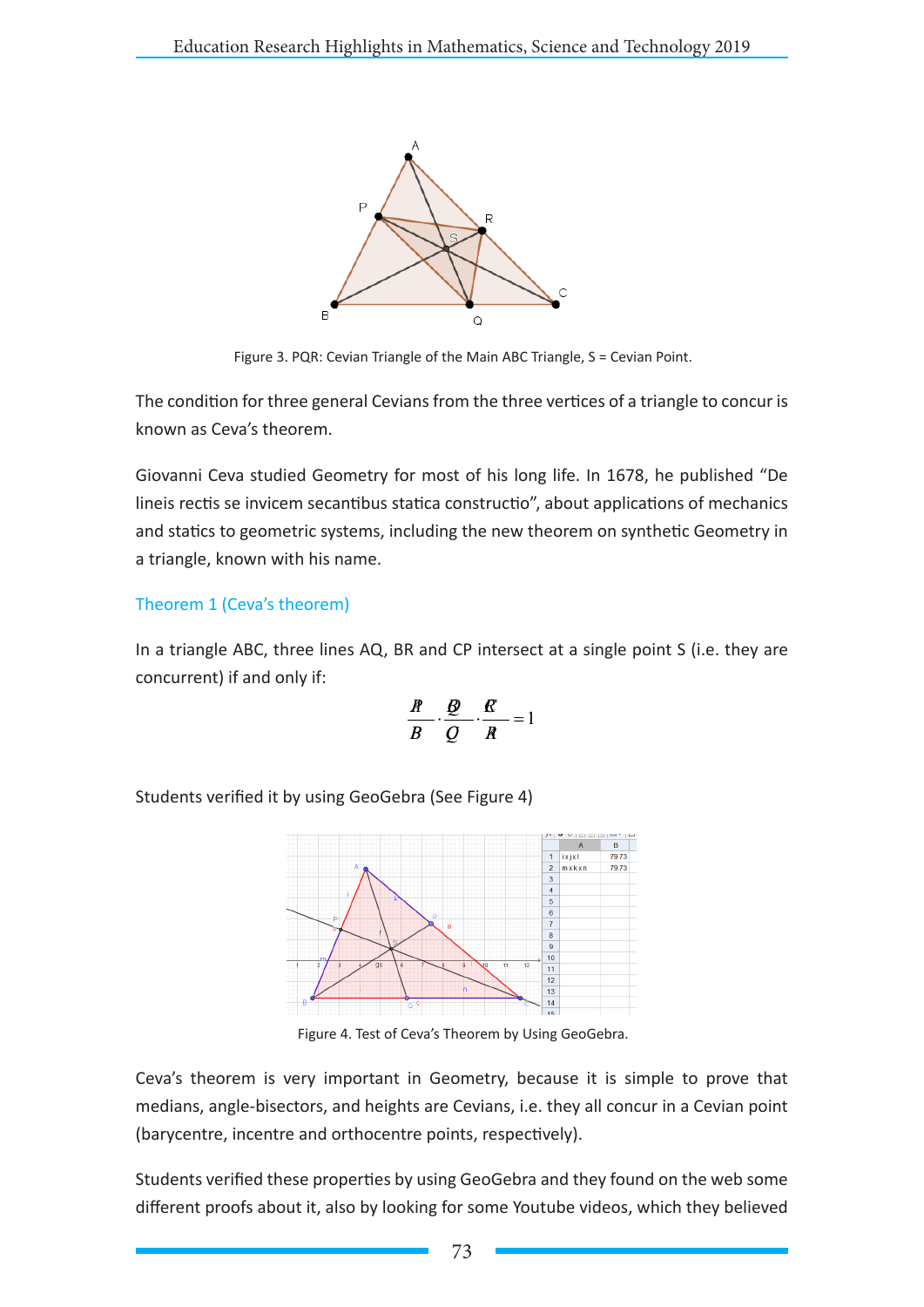

Figure 3. PQR: Cevian Triangle of the Main ABC Triangle, S = Cevian Point.

The condition for three general Cevians from the three vertices of a triangle to concur is known as Ceva's theorem.

Giovanni Ceva studied Geometry for most of his long life. In 1678, he published "De lineis rectis se invicem secantibus statica constructio", about applications of mechanics and statics to geometric systems, including the new theorem on synthetic Geometry in a triangle, known with his name.

## Theorem 1 (Ceva's theorem)

In a triangle ABC, three lines AQ, BR and CP intersect at a single point S (i.e. they are concurrent) if and only if:

$$
\frac{R}{B} \cdot \frac{Q}{Q} \cdot \frac{R}{R} = 1
$$

Students verified it by using GeoGebra (See Figure 4)



Figure 4. Test of Ceva's Theorem by Using GeoGebra.

Ceva's theorem is very important in Geometry, because it is simple to prove that medians, angle-bisectors, and heights are Cevians, i.e. they all concur in a Cevian point (barycentre, incentre and orthocentre points, respectively).

Students verified these properties by using GeoGebra and they found on the web some different proofs about it, also by looking for some Youtube videos, which they believed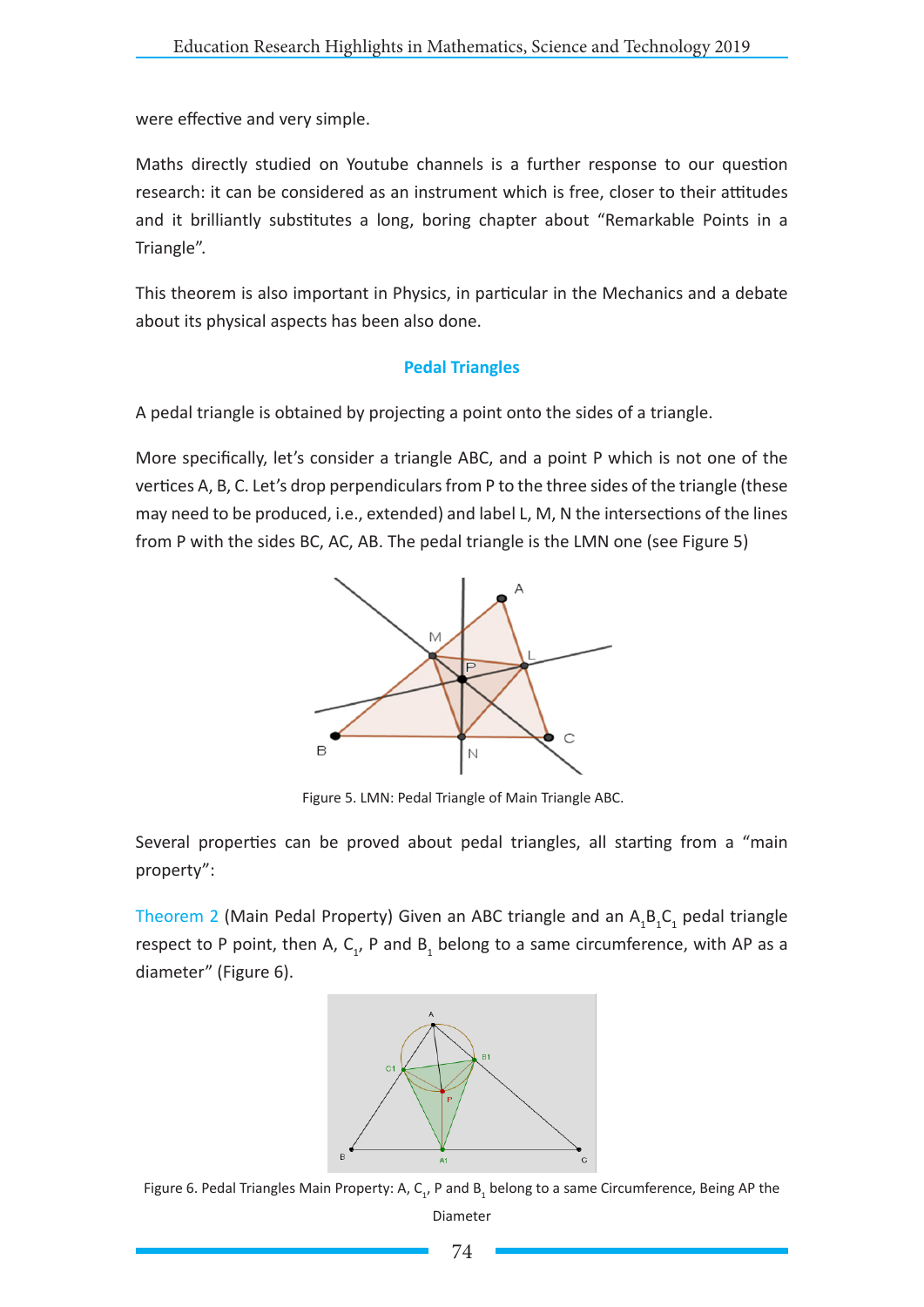were effective and very simple.

Maths directly studied on Youtube channels is a further response to our question research: it can be considered as an instrument which is free, closer to their attitudes and it brilliantly substitutes a long, boring chapter about "Remarkable Points in a Triangle".

This theorem is also important in Physics, in particular in the Mechanics and a debate about its physical aspects has been also done.

#### **Pedal Triangles**

A pedal triangle is obtained by projecting a point onto the sides of a triangle.

More specifically, let's consider a triangle ABC, and a point P which is not one of the vertices A, B, C. Let's drop perpendiculars from P to the three sides of the triangle (these may need to be produced, i.e., extended) and label L, M, N the intersections of the lines from P with the sides BC, AC, AB. The pedal triangle is the LMN one (see Figure 5)



Figure 5. LMN: Pedal Triangle of Main Triangle ABC.

Several properties can be proved about pedal triangles, all starting from a "main property":

Theorem 2 (Main Pedal Property) Given an ABC triangle and an  $A_1B_1C_1$  pedal triangle respect to P point, then A,  $C_1$ , P and B<sub>1</sub> belong to a same circumference, with AP as a diameter" (Figure 6).



Figure 6. Pedal Triangles Main Property: A,  $C_{1}$ , P and  $B_1$  belong to a same Circumference, Being AP the

Diameter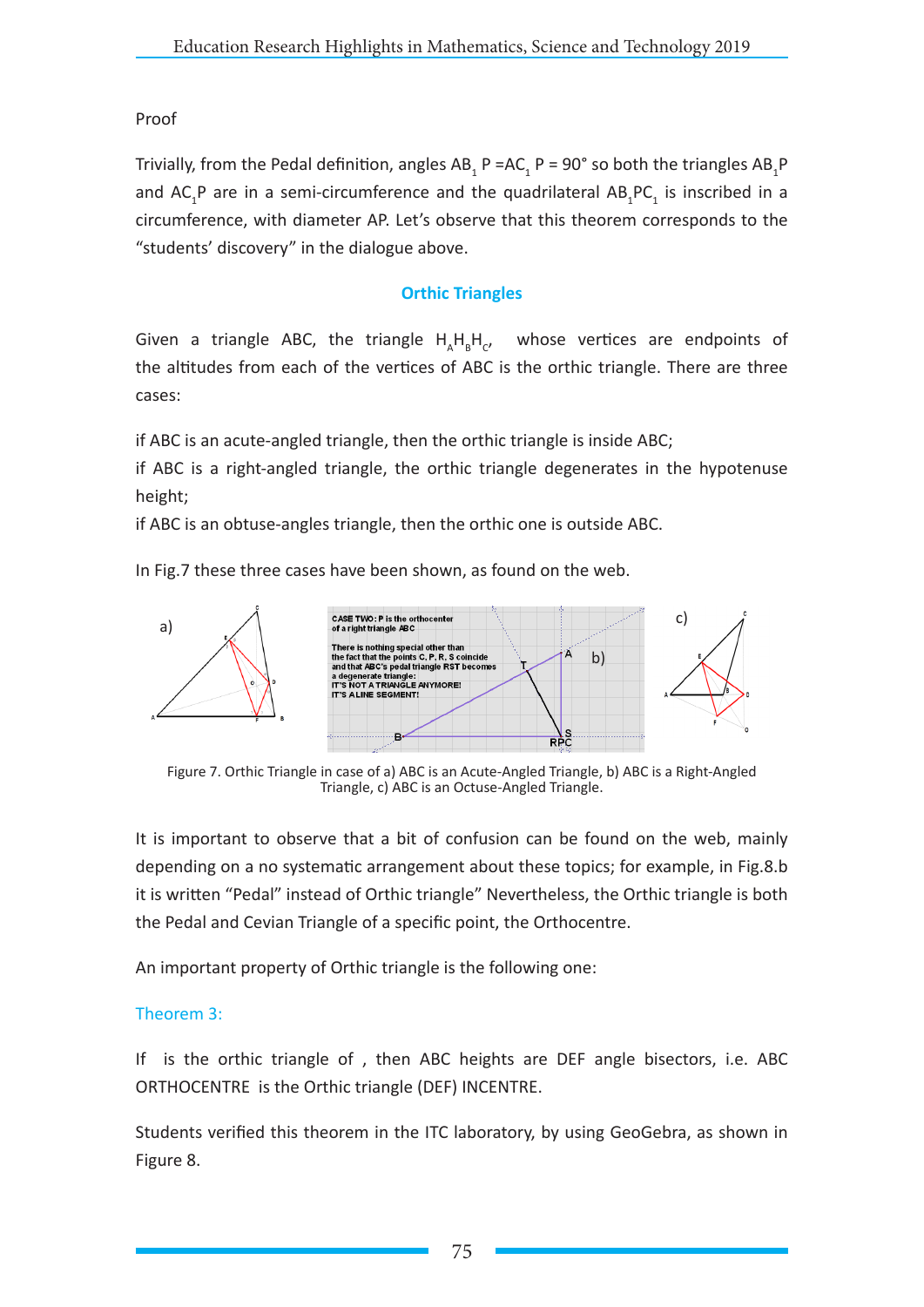### Proof

Trivially, from the Pedal definition, angles  $AB_1P=AC_1P=90°$  so both the triangles  $AB_1P$ and  $AC_1P$  are in a semi-circumference and the quadrilateral  $AB_1PC_1$  is inscribed in a circumference, with diameter AP. Let's observe that this theorem corresponds to the "students' discovery" in the dialogue above.

### **Orthic Triangles**

Given a triangle ABC, the triangle  $H_A H_B H_C$ , whose vertices are endpoints of the altitudes from each of the vertices of ABC is the orthic triangle. There are three cases:

if ABC is an acute-angled triangle, then the orthic triangle is inside ABC;

if ABC is a right-angled triangle, the orthic triangle degenerates in the hypotenuse height;

if ABC is an obtuse-angles triangle, then the orthic one is outside ABC.

In Fig.7 these three cases have been shown, as found on the web.



Figure 7. Orthic Triangle in case of a) ABC is an Acute-Angled Triangle, b) ABC is a Right-Angled Triangle, c) ABC is an Octuse-Angled Triangle.

It is important to observe that a bit of confusion can be found on the web, mainly depending on a no systematic arrangement about these topics; for example, in Fig.8.b it is written "Pedal" instead of Orthic triangle" Nevertheless, the Orthic triangle is both the Pedal and Cevian Triangle of a specific point, the Orthocentre.

An important property of Orthic triangle is the following one:

### Theorem 3:

If is the orthic triangle of , then ABC heights are DEF angle bisectors, i.e. ABC ORTHOCENTRE is the Orthic triangle (DEF) INCENTRE.

Students verified this theorem in the ITC laboratory, by using GeoGebra, as shown in Figure 8.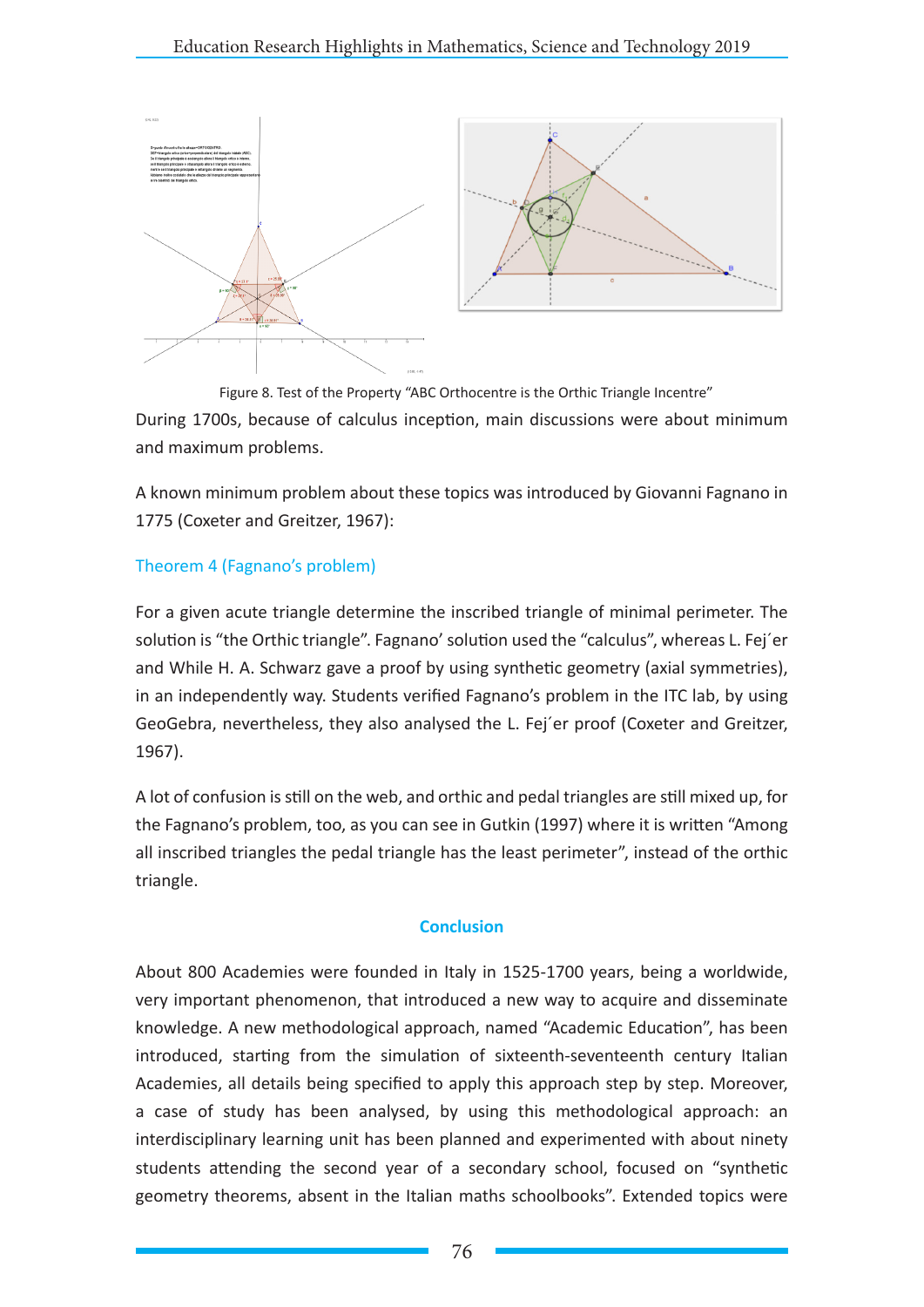

Figure 8. Test of the Property "ABC Orthocentre is the Orthic Triangle Incentre" During 1700s, because of calculus inception, main discussions were about minimum and maximum problems.

A known minimum problem about these topics was introduced by Giovanni Fagnano in 1775 (Coxeter and Greitzer, 1967):

### Theorem 4 (Fagnano's problem)

For a given acute triangle determine the inscribed triangle of minimal perimeter. The solution is "the Orthic triangle". Fagnano' solution used the "calculus", whereas L. Fej´er and While H. A. Schwarz gave a proof by using synthetic geometry (axial symmetries), in an independently way. Students verified Fagnano's problem in the ITC lab, by using GeoGebra, nevertheless, they also analysed the L. Fej´er proof (Coxeter and Greitzer, 1967).

A lot of confusion is still on the web, and orthic and pedal triangles are still mixed up, for the Fagnano's problem, too, as you can see in Gutkin (1997) where it is written "Among all inscribed triangles the pedal triangle has the least perimeter", instead of the orthic triangle.

### **Conclusion**

About 800 Academies were founded in Italy in 1525-1700 years, being a worldwide, very important phenomenon, that introduced a new way to acquire and disseminate knowledge. A new methodological approach, named "Academic Education", has been introduced, starting from the simulation of sixteenth-seventeenth century Italian Academies, all details being specified to apply this approach step by step. Moreover, a case of study has been analysed, by using this methodological approach: an interdisciplinary learning unit has been planned and experimented with about ninety students attending the second year of a secondary school, focused on "synthetic geometry theorems, absent in the Italian maths schoolbooks". Extended topics were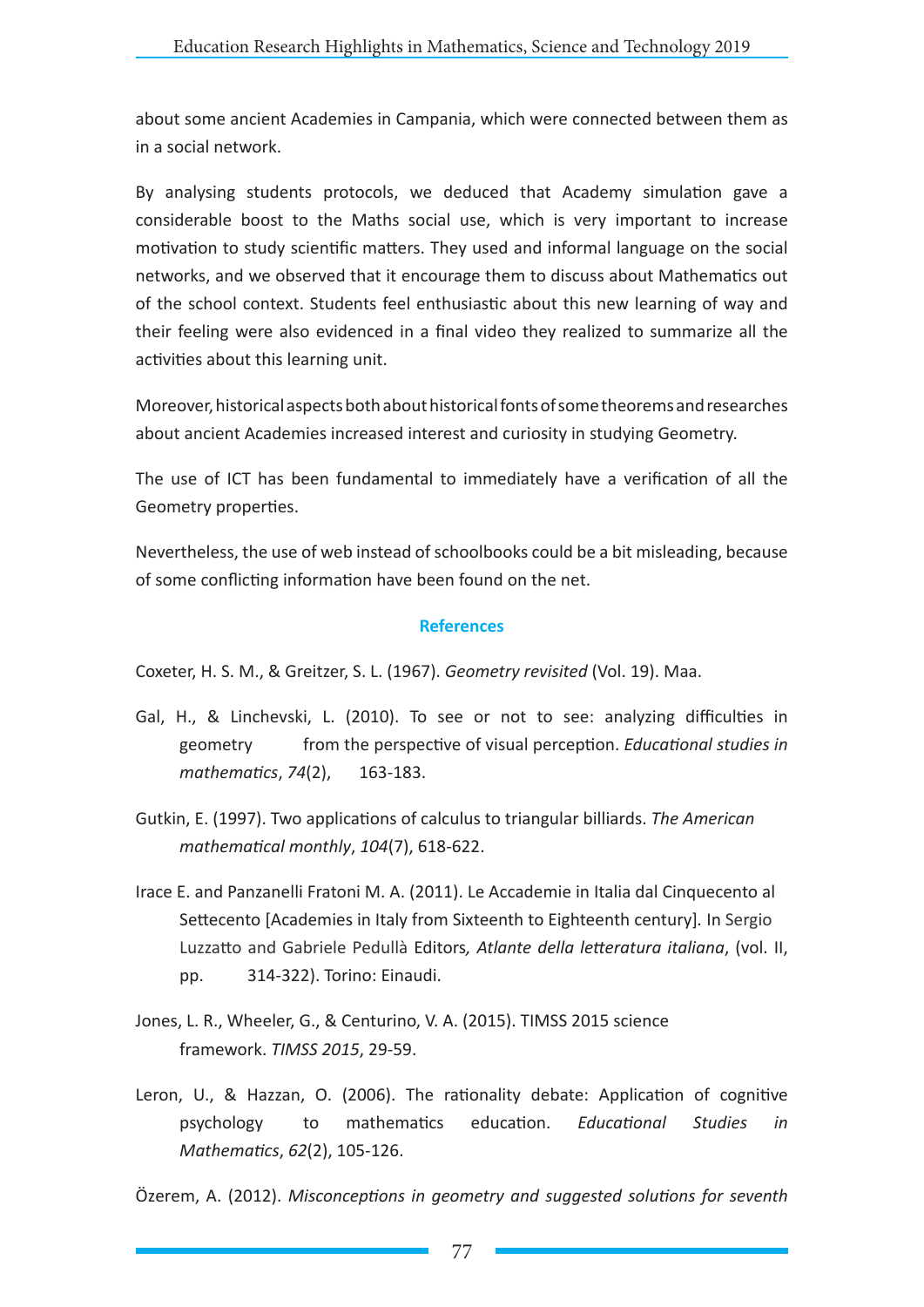about some ancient Academies in Campania, which were connected between them as in a social network.

By analysing students protocols, we deduced that Academy simulation gave a considerable boost to the Maths social use, which is very important to increase motivation to study scientific matters. They used and informal language on the social networks, and we observed that it encourage them to discuss about Mathematics out of the school context. Students feel enthusiastic about this new learning of way and their feeling were also evidenced in a final video they realized to summarize all the activities about this learning unit.

Moreover, historical aspects both about historical fonts of some theorems and researches about ancient Academies increased interest and curiosity in studying Geometry.

The use of ICT has been fundamental to immediately have a verification of all the Geometry properties.

Nevertheless, the use of web instead of schoolbooks could be a bit misleading, because of some conflicting information have been found on the net.

#### **References**

Coxeter, H. S. M., & Greitzer, S. L. (1967). *Geometry revisited* (Vol. 19). Maa.

- Gal, H., & Linchevski, L. (2010). To see or not to see: analyzing difficulties in geometry from the perspective of visual perception. *Educational studies in mathematics*, *74*(2), 163-183.
- Gutkin, E. (1997). Two applications of calculus to triangular billiards. *The American mathematical monthly*, *104*(7), 618-622.
- Irace E. and Panzanelli Fratoni M. A. (2011). Le Accademie in Italia dal Cinquecento al Settecento [Academies in Italy from Sixteenth to Eighteenth century]*.* In Sergio Luzzatto and Gabriele Pedullà Editors*, Atlante della letteratura italiana*, (vol. II, pp. 314-322). Torino: Einaudi.
- Jones, L. R., Wheeler, G., & Centurino, V. A. (2015). TIMSS 2015 science framework. *TIMSS 2015*, 29-59.
- Leron, U., & Hazzan, O. (2006). The rationality debate: Application of cognitive psychology to mathematics education. *Educational Studies in Mathematics*, *62*(2), 105-126.

Özerem, A. (2012). *Misconceptions in geometry and suggested solutions for seventh*